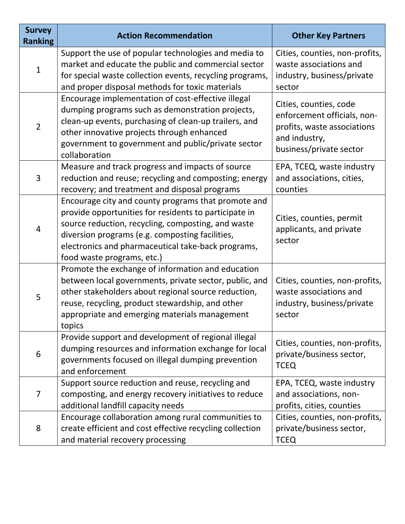| <b>Survey</b><br><b>Ranking</b> | <b>Action Recommendation</b>                                                                                                                                                                                                                                                                              | <b>Other Key Partners</b>                                                                                                        |
|---------------------------------|-----------------------------------------------------------------------------------------------------------------------------------------------------------------------------------------------------------------------------------------------------------------------------------------------------------|----------------------------------------------------------------------------------------------------------------------------------|
| $\mathbf{1}$                    | Support the use of popular technologies and media to<br>market and educate the public and commercial sector<br>for special waste collection events, recycling programs,<br>and proper disposal methods for toxic materials                                                                                | Cities, counties, non-profits,<br>waste associations and<br>industry, business/private<br>sector                                 |
| $\overline{2}$                  | Encourage implementation of cost-effective illegal<br>dumping programs such as demonstration projects,<br>clean-up events, purchasing of clean-up trailers, and<br>other innovative projects through enhanced<br>government to government and public/private sector<br>collaboration                      | Cities, counties, code<br>enforcement officials, non-<br>profits, waste associations<br>and industry,<br>business/private sector |
| 3                               | Measure and track progress and impacts of source<br>reduction and reuse; recycling and composting; energy<br>recovery; and treatment and disposal programs                                                                                                                                                | EPA, TCEQ, waste industry<br>and associations, cities,<br>counties                                                               |
| 4                               | Encourage city and county programs that promote and<br>provide opportunities for residents to participate in<br>source reduction, recycling, composting, and waste<br>diversion programs (e.g. composting facilities,<br>electronics and pharmaceutical take-back programs,<br>food waste programs, etc.) | Cities, counties, permit<br>applicants, and private<br>sector                                                                    |
| 5                               | Promote the exchange of information and education<br>between local governments, private sector, public, and<br>other stakeholders about regional source reduction,<br>reuse, recycling, product stewardship, and other<br>appropriate and emerging materials management<br>topics                         | Cities, counties, non-profits,<br>waste associations and<br>industry, business/private<br>sector                                 |
| 6                               | Provide support and development of regional illegal<br>dumping resources and information exchange for local<br>governments focused on illegal dumping prevention<br>and enforcement                                                                                                                       | Cities, counties, non-profits,<br>private/business sector,<br><b>TCEQ</b>                                                        |
| 7                               | Support source reduction and reuse, recycling and<br>composting, and energy recovery initiatives to reduce<br>additional landfill capacity needs                                                                                                                                                          | EPA, TCEQ, waste industry<br>and associations, non-<br>profits, cities, counties                                                 |
| 8                               | Encourage collaboration among rural communities to<br>create efficient and cost effective recycling collection<br>and material recovery processing                                                                                                                                                        | Cities, counties, non-profits,<br>private/business sector,<br><b>TCEQ</b>                                                        |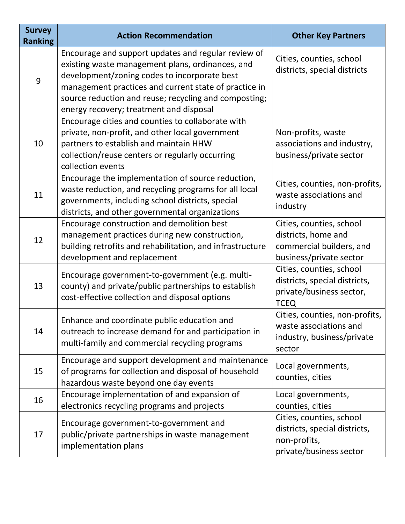| <b>Survey</b><br><b>Ranking</b> | <b>Action Recommendation</b>                                                                                                                                                                                                                                                                                         | <b>Other Key Partners</b>                                                                              |
|---------------------------------|----------------------------------------------------------------------------------------------------------------------------------------------------------------------------------------------------------------------------------------------------------------------------------------------------------------------|--------------------------------------------------------------------------------------------------------|
| 9                               | Encourage and support updates and regular review of<br>existing waste management plans, ordinances, and<br>development/zoning codes to incorporate best<br>management practices and current state of practice in<br>source reduction and reuse; recycling and composting;<br>energy recovery; treatment and disposal | Cities, counties, school<br>districts, special districts                                               |
| 10                              | Encourage cities and counties to collaborate with<br>private, non-profit, and other local government<br>partners to establish and maintain HHW<br>collection/reuse centers or regularly occurring<br>collection events                                                                                               | Non-profits, waste<br>associations and industry,<br>business/private sector                            |
| 11                              | Encourage the implementation of source reduction,<br>waste reduction, and recycling programs for all local<br>governments, including school districts, special<br>districts, and other governmental organizations                                                                                                    | Cities, counties, non-profits,<br>waste associations and<br>industry                                   |
| 12                              | Encourage construction and demolition best<br>management practices during new construction,<br>building retrofits and rehabilitation, and infrastructure<br>development and replacement                                                                                                                              | Cities, counties, school<br>districts, home and<br>commercial builders, and<br>business/private sector |
| 13                              | Encourage government-to-government (e.g. multi-<br>county) and private/public partnerships to establish<br>cost-effective collection and disposal options                                                                                                                                                            | Cities, counties, school<br>districts, special districts,<br>private/business sector,<br><b>TCEQ</b>   |
| 14                              | Enhance and coordinate public education and<br>outreach to increase demand for and participation in<br>multi-family and commercial recycling programs                                                                                                                                                                | Cities, counties, non-profits,<br>waste associations and<br>industry, business/private<br>sector       |
| 15                              | Encourage and support development and maintenance<br>of programs for collection and disposal of household<br>hazardous waste beyond one day events                                                                                                                                                                   | Local governments,<br>counties, cities                                                                 |
| 16                              | Encourage implementation of and expansion of<br>electronics recycling programs and projects                                                                                                                                                                                                                          | Local governments,<br>counties, cities                                                                 |
| 17                              | Encourage government-to-government and<br>public/private partnerships in waste management<br>implementation plans                                                                                                                                                                                                    | Cities, counties, school<br>districts, special districts,<br>non-profits,<br>private/business sector   |